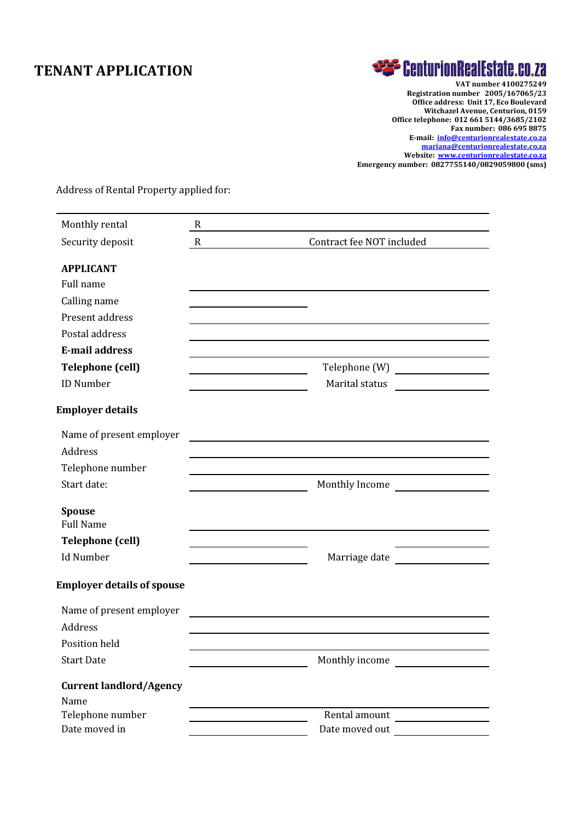## TENANT APPLICATION

# **EXP CenturionRealEstate.co.za**

VAT number 4100275249 Registration number 2005/167065/23 Office address: Unit 17, Eco Boulevard Witchazel Avenue, Centurion, 0159 Office telephone: 012 661 5144/3685/2102 Fax number: 086 695 8875 E-mail: info@centurionrealestate.co.za mariana@centurionrealestate.co.za Website: www.centurionrealestate.co.za Emergency number: 0827755140/0829059800 (sms)

Address of Rental Property applied for:

| Monthly rental                    | $\mathbf R$ |                                                                                                 |  |  |
|-----------------------------------|-------------|-------------------------------------------------------------------------------------------------|--|--|
| Security deposit                  | $\mathbf R$ | Contract fee NOT included                                                                       |  |  |
| <b>APPLICANT</b>                  |             |                                                                                                 |  |  |
| Full name                         |             |                                                                                                 |  |  |
| Calling name                      |             |                                                                                                 |  |  |
| Present address                   |             |                                                                                                 |  |  |
| Postal address                    |             |                                                                                                 |  |  |
| <b>E-mail address</b>             |             |                                                                                                 |  |  |
| <b>Telephone (cell)</b>           |             |                                                                                                 |  |  |
| <b>ID Number</b>                  |             | Marital status<br><u> 1990 - John Stein, Amerikaansk politiker</u>                              |  |  |
| <b>Employer details</b>           |             |                                                                                                 |  |  |
| Name of present employer          |             | <u> 1989 - Johann Barbara, martxa eta idazlea (h. 1989).</u>                                    |  |  |
| <b>Address</b>                    |             |                                                                                                 |  |  |
| Telephone number                  |             |                                                                                                 |  |  |
| Start date:                       |             | Monthly Income                                                                                  |  |  |
| <b>Spouse</b>                     |             |                                                                                                 |  |  |
| <b>Full Name</b>                  |             |                                                                                                 |  |  |
| <b>Telephone (cell)</b>           |             |                                                                                                 |  |  |
| <b>Id Number</b>                  |             | Marriage date                                                                                   |  |  |
| <b>Employer details of spouse</b> |             |                                                                                                 |  |  |
| Name of present employer          |             | the contract of the contract of the contract of the contract of the contract of the contract of |  |  |
| <b>Address</b>                    |             |                                                                                                 |  |  |
| Position held                     |             |                                                                                                 |  |  |
| <b>Start Date</b>                 |             | Monthly income                                                                                  |  |  |
| <b>Current landlord/Agency</b>    |             |                                                                                                 |  |  |
| Name                              |             |                                                                                                 |  |  |
| Telephone number                  |             | Rental amount                                                                                   |  |  |
| Date moved in                     |             | Date moved out                                                                                  |  |  |